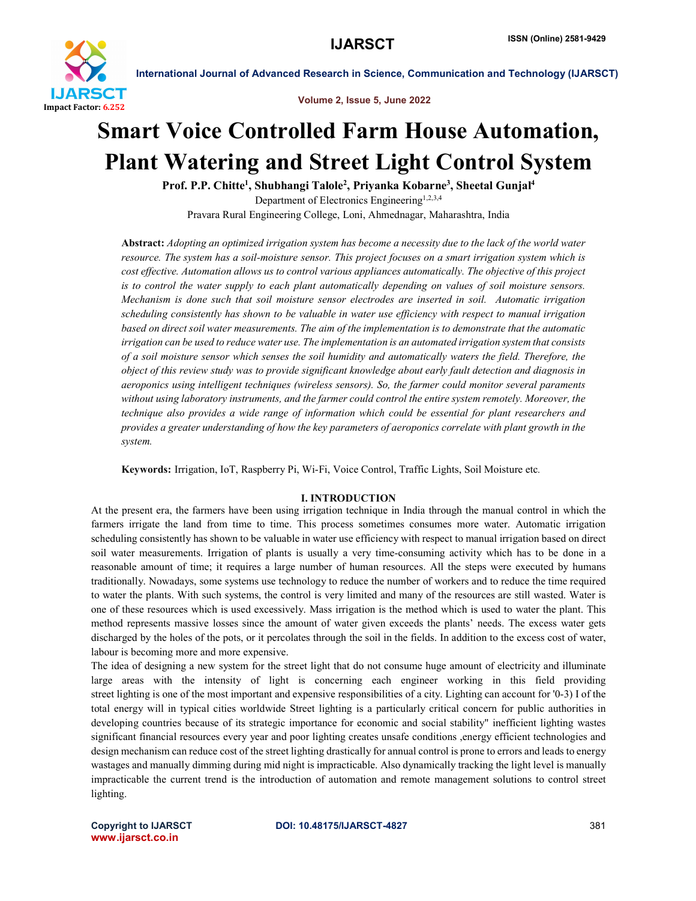

Volume 2, Issue 5, June 2022

# Smart Voice Controlled Farm House Automation, Plant Watering and Street Light Control System

Prof. P.P. Chitte<sup>1</sup>, Shubhangi Talole<sup>2</sup>, Priyanka Kobarne<sup>3</sup>, Sheetal Gunjal<sup>4</sup> Department of Electronics Engineering<sup>1,2,3,4</sup> Pravara Rural Engineering College, Loni, Ahmednagar, Maharashtra, India

Abstract: *Adopting an optimized irrigation system has become a necessity due to the lack of the world water resource. The system has a soil-moisture sensor. This project focuses on a smart irrigation system which is cost effective. Automation allows us to control various appliances automatically. The objective of this project is to control the water supply to each plant automatically depending on values of soil moisture sensors. Mechanism is done such that soil moisture sensor electrodes are inserted in soil. Automatic irrigation scheduling consistently has shown to be valuable in water use efficiency with respect to manual irrigation based on direct soil water measurements. The aim of the implementation is to demonstrate that the automatic irrigation can be used to reduce water use. The implementation is an automated irrigation system that consists of a soil moisture sensor which senses the soil humidity and automatically waters the field. Therefore, the object of this review study was to provide significant knowledge about early fault detection and diagnosis in aeroponics using intelligent techniques (wireless sensors). So, the farmer could monitor several paraments without using laboratory instruments, and the farmer could control the entire system remotely. Moreover, the technique also provides a wide range of information which could be essential for plant researchers and provides a greater understanding of how the key parameters of aeroponics correlate with plant growth in the system.*

Keywords: Irrigation, IoT, Raspberry Pi, Wi-Fi, Voice Control, Traffic Lights, Soil Moisture etc*.*

# I. INTRODUCTION

At the present era, the farmers have been using irrigation technique in India through the manual control in which the farmers irrigate the land from time to time. This process sometimes consumes more water. Automatic irrigation scheduling consistently has shown to be valuable in water use efficiency with respect to manual irrigation based on direct soil water measurements. Irrigation of plants is usually a very time-consuming activity which has to be done in a reasonable amount of time; it requires a large number of human resources. All the steps were executed by humans traditionally. Nowadays, some systems use technology to reduce the number of workers and to reduce the time required to water the plants. With such systems, the control is very limited and many of the resources are still wasted. Water is one of these resources which is used excessively. Mass irrigation is the method which is used to water the plant. This method represents massive losses since the amount of water given exceeds the plants' needs. The excess water gets discharged by the holes of the pots, or it percolates through the soil in the fields. In addition to the excess cost of water, labour is becoming more and more expensive.

The idea of designing a new system for the street light that do not consume huge amount of electricity and illuminate large areas with the intensity of light is concerning each engineer working in this field providing street lighting is one of the most important and expensive responsibilities of a city. Lighting can account for '0-3) I of the total energy will in typical cities worldwide Street lighting is a particularly critical concern for public authorities in developing countries because of its strategic importance for economic and social stability" inefficient lighting wastes significant financial resources every year and poor lighting creates unsafe conditions ,energy efficient technologies and design mechanism can reduce cost of the street lighting drastically for annual control is prone to errors and leads to energy wastages and manually dimming during mid night is impracticable. Also dynamically tracking the light level is manually impracticable the current trend is the introduction of automation and remote management solutions to control street lighting.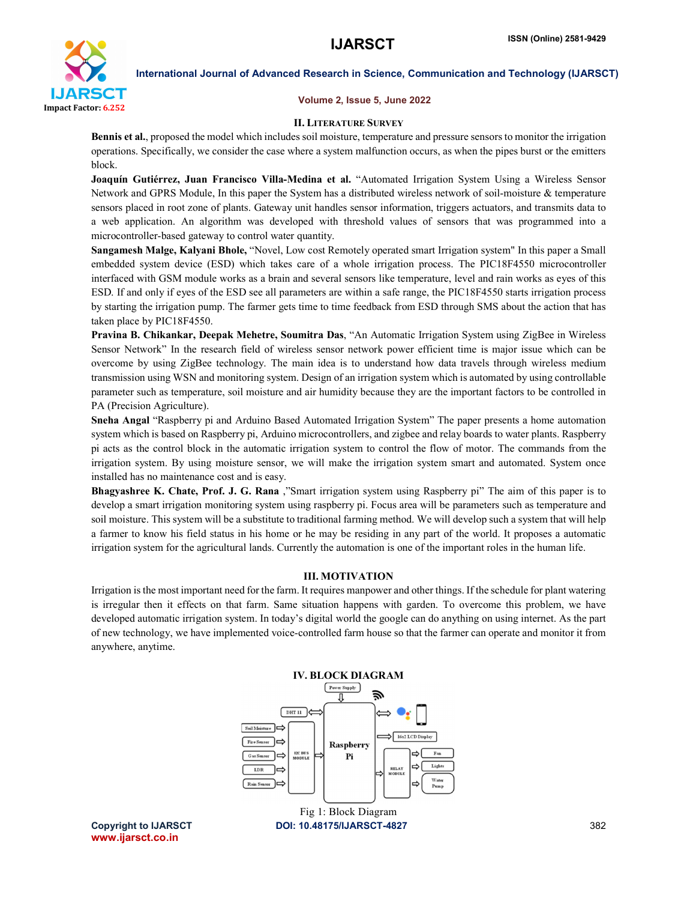

### Volume 2, Issue 5, June 2022

### II. LITERATURE SURVEY

Bennis et al., proposed the model which includes soil moisture, temperature and pressure sensors to monitor the irrigation operations. Specifically, we consider the case where a system malfunction occurs, as when the pipes burst or the emitters block.

Joaquín Gutiérrez, Juan Francisco Villa-Medina et al. "Automated Irrigation System Using a Wireless Sensor Network and GPRS Module, In this paper the System has a distributed wireless network of soil-moisture & temperature sensors placed in root zone of plants. Gateway unit handles sensor information, triggers actuators, and transmits data to a web application. An algorithm was developed with threshold values of sensors that was programmed into a microcontroller-based gateway to control water quantity.

Sangamesh Malge, Kalyani Bhole, "Novel, Low cost Remotely operated smart Irrigation system" In this paper a Small embedded system device (ESD) which takes care of a whole irrigation process. The PIC18F4550 microcontroller interfaced with GSM module works as a brain and several sensors like temperature, level and rain works as eyes of this ESD. If and only if eyes of the ESD see all parameters are within a safe range, the PIC18F4550 starts irrigation process by starting the irrigation pump. The farmer gets time to time feedback from ESD through SMS about the action that has taken place by PIC18F4550.

Pravina B. Chikankar, Deepak Mehetre, Soumitra Das, "An Automatic Irrigation System using ZigBee in Wireless Sensor Network" In the research field of wireless sensor network power efficient time is major issue which can be overcome by using ZigBee technology. The main idea is to understand how data travels through wireless medium transmission using WSN and monitoring system. Design of an irrigation system which is automated by using controllable parameter such as temperature, soil moisture and air humidity because they are the important factors to be controlled in PA (Precision Agriculture).

Sneha Angal "Raspberry pi and Arduino Based Automated Irrigation System" The paper presents a home automation system which is based on Raspberry pi, Arduino microcontrollers, and zigbee and relay boards to water plants. Raspberry pi acts as the control block in the automatic irrigation system to control the flow of motor. The commands from the irrigation system. By using moisture sensor, we will make the irrigation system smart and automated. System once installed has no maintenance cost and is easy.

Bhagyashree K. Chate, Prof. J. G. Rana ,"Smart irrigation system using Raspberry pi" The aim of this paper is to develop a smart irrigation monitoring system using raspberry pi. Focus area will be parameters such as temperature and soil moisture. This system will be a substitute to traditional farming method. We will develop such a system that will help a farmer to know his field status in his home or he may be residing in any part of the world. It proposes a automatic irrigation system for the agricultural lands. Currently the automation is one of the important roles in the human life.

# III. MOTIVATION

Irrigation is the most important need for the farm. It requires manpower and other things. If the schedule for plant watering is irregular then it effects on that farm. Same situation happens with garden. To overcome this problem, we have developed automatic irrigation system. In today's digital world the google can do anything on using internet. As the part of new technology, we have implemented voice-controlled farm house so that the farmer can operate and monitor it from anywhere, anytime.



www.ijarsct.co.in

Copyright to IJARSCT **DOI: 10.48175/IJARSCT-4827** 382 Fig 1: Block Diagram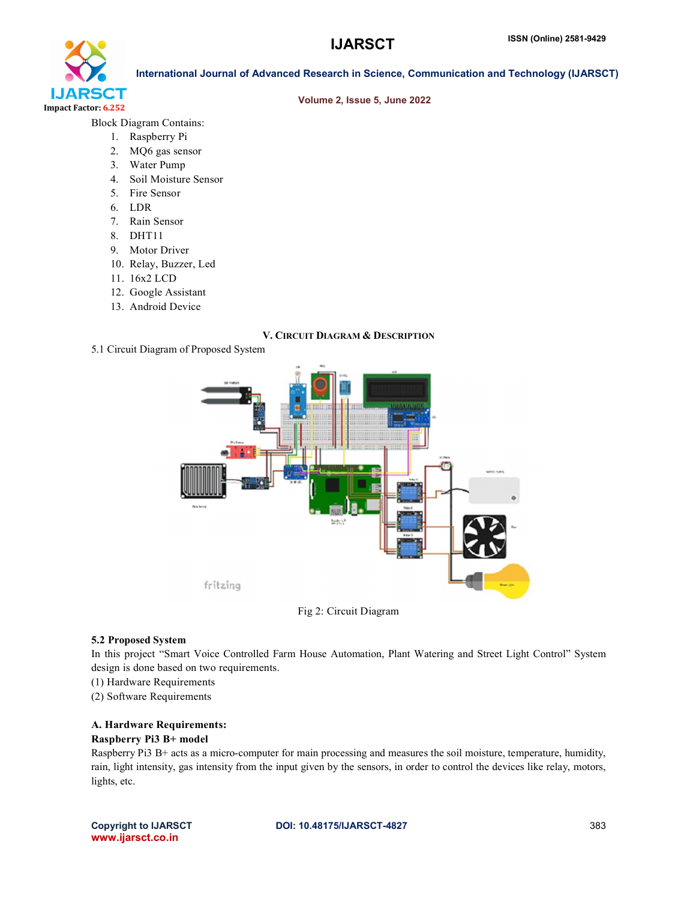

### Volume 2, Issue 5, June 2022

Block Diagram Contains:

- 1. Raspberry Pi
- 2. MQ6 gas sensor
- 3. Water Pump
- 4. Soil Moisture Sensor
- 5. Fire Sensor
- 6. LDR
- 7. Rain Sensor
- 8. DHT11
- 9. Motor Driver
- 10. Relay, Buzzer, Led
- 11. 16x2 LCD
- 12. Google Assistant
- 13. Android Device

### V. CIRCUIT DIAGRAM & DESCRIPTION

5.1 Circuit Diagram of Proposed System





#### 5.2 Proposed System

In this project "Smart Voice Controlled Farm House Automation, Plant Watering and Street Light Control" System design is done based on two requirements.

- (1) Hardware Requirements
- (2) Software Requirements

# A. Hardware Requirements: Raspberry Pi3 B+ model

Raspberry Pi3 B+ acts as a micro-computer for main processing and measures the soil moisture, temperature, humidity, rain, light intensity, gas intensity from the input given by the sensors, in order to control the devices like relay, motors, lights, etc.

www.ijarsct.co.in

Copyright to IJARSCT **DOI: 10.48175/IJARSCT-4827** 383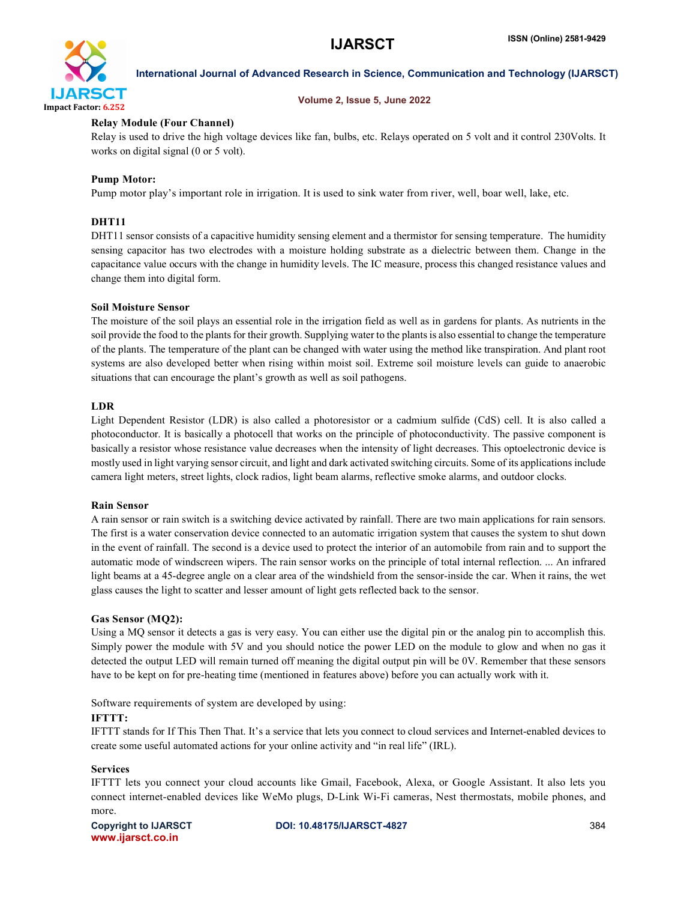

# Volume 2, Issue 5, June 2022

# Relay Module (Four Channel)

Relay is used to drive the high voltage devices like fan, bulbs, etc. Relays operated on 5 volt and it control 230Volts. It works on digital signal (0 or 5 volt).

# Pump Motor:

Pump motor play's important role in irrigation. It is used to sink water from river, well, boar well, lake, etc.

# DHT<sub>11</sub>

DHT11 sensor consists of a capacitive humidity sensing element and a thermistor for sensing temperature. The humidity sensing capacitor has two electrodes with a moisture holding substrate as a dielectric between them. Change in the capacitance value occurs with the change in humidity levels. The IC measure, process this changed resistance values and change them into digital form.

# Soil Moisture Sensor

The moisture of the soil plays an essential role in the irrigation field as well as in gardens for plants. As nutrients in the soil provide the food to the plants for their growth. Supplying water to the plants is also essential to change the temperature of the plants. The temperature of the plant can be changed with water using the method like transpiration. And plant root systems are also developed better when rising within moist soil. Extreme soil moisture levels can guide to anaerobic situations that can encourage the plant's growth as well as soil pathogens.

### LDR

Light Dependent Resistor (LDR) is also called a photoresistor or a cadmium sulfide (CdS) cell. It is also called a photoconductor. It is basically a photocell that works on the principle of photoconductivity. The passive component is basically a resistor whose resistance value decreases when the intensity of light decreases. This optoelectronic device is mostly used in light varying sensor circuit, and light and dark activated switching circuits. Some of its applications include camera light meters, street lights, clock radios, light beam alarms, reflective smoke alarms, and outdoor clocks.

# Rain Sensor

A rain sensor or rain switch is a switching device activated by rainfall. There are two main applications for rain sensors. The first is a water conservation device connected to an automatic irrigation system that causes the system to shut down in the event of rainfall. The second is a device used to protect the interior of an automobile from rain and to support the automatic mode of windscreen wipers. The rain sensor works on the principle of total internal reflection. ... An infrared light beams at a 45-degree angle on a clear area of the windshield from the sensor-inside the car. When it rains, the wet glass causes the light to scatter and lesser amount of light gets reflected back to the sensor.

# Gas Sensor (MQ2):

Using a MQ sensor it detects a gas is very easy. You can either use the digital pin or the analog pin to accomplish this. Simply power the module with 5V and you should notice the power LED on the module to glow and when no gas it detected the output LED will remain turned off meaning the digital output pin will be 0V. Remember that these sensors have to be kept on for pre-heating time (mentioned in features above) before you can actually work with it.

Software requirements of system are developed by using:

# IFTTT:

IFTTT stands for If This Then That. It's a service that lets you connect to cloud services and Internet-enabled devices to create some useful automated actions for your online activity and "in real life" (IRL).

# Services

IFTTT lets you connect your cloud accounts like Gmail, Facebook, Alexa, or Google Assistant. It also lets you connect internet-enabled devices like WeMo plugs, D-Link Wi-Fi cameras, Nest thermostats, mobile phones, and more.

www.ijarsct.co.in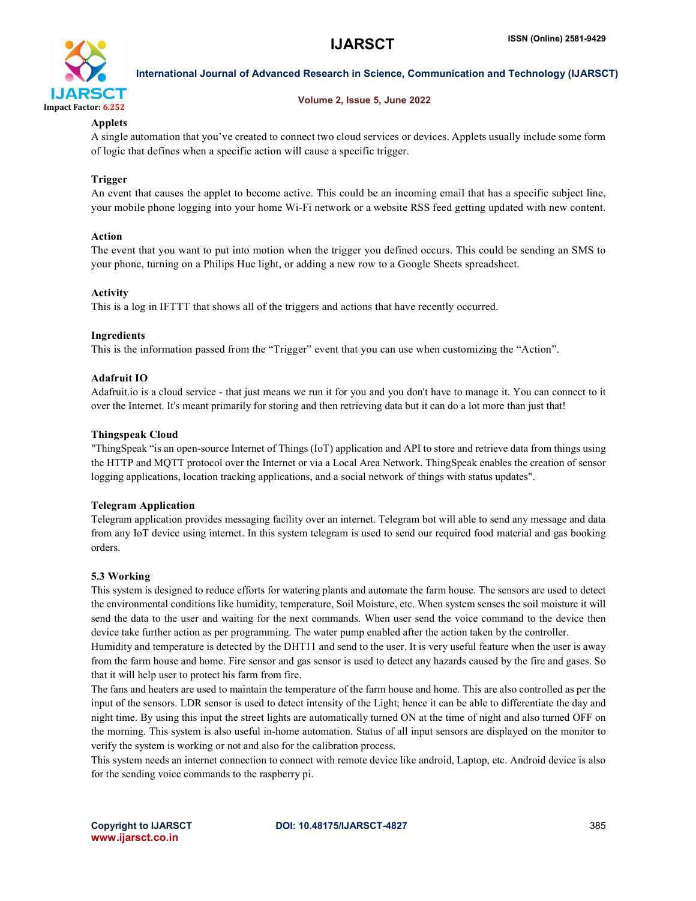

# Volume 2, Issue 5, June 2022

# Applets

A single automation that you've created to connect two cloud services or devices. Applets usually include some form of logic that defines when a specific action will cause a specific trigger.

# Trigger

An event that causes the applet to become active. This could be an incoming email that has a specific subject line, your mobile phone logging into your home Wi-Fi network or a website RSS feed getting updated with new content.

# Action

The event that you want to put into motion when the trigger you defined occurs. This could be sending an SMS to your phone, turning on a Philips Hue light, or adding a new row to a Google Sheets spreadsheet.

# Activity

This is a log in IFTTT that shows all of the triggers and actions that have recently occurred.

# Ingredients

This is the information passed from the "Trigger" event that you can use when customizing the "Action".

# Adafruit IO

Adafruit.io is a cloud service - that just means we run it for you and you don't have to manage it. You can connect to it over the Internet. It's meant primarily for storing and then retrieving data but it can do a lot more than just that!

# Thingspeak Cloud

"ThingSpeak "is an open-source Internet of Things (IoT) application and API to store and retrieve data from things using the HTTP and MQTT protocol over the Internet or via a Local Area Network. ThingSpeak enables the creation of sensor logging applications, location tracking applications, and a social network of things with status updates".

# Telegram Application

Telegram application provides messaging facility over an internet. Telegram bot will able to send any message and data from any IoT device using internet. In this system telegram is used to send our required food material and gas booking orders.

# 5.3 Working

This system is designed to reduce efforts for watering plants and automate the farm house. The sensors are used to detect the environmental conditions like humidity, temperature, Soil Moisture, etc. When system senses the soil moisture it will send the data to the user and waiting for the next commands. When user send the voice command to the device then device take further action as per programming. The water pump enabled after the action taken by the controller.

Humidity and temperature is detected by the DHT11 and send to the user. It is very useful feature when the user is away from the farm house and home. Fire sensor and gas sensor is used to detect any hazards caused by the fire and gases. So that it will help user to protect his farm from fire.

The fans and heaters are used to maintain the temperature of the farm house and home. This are also controlled as per the input of the sensors. LDR sensor is used to detect intensity of the Light; hence it can be able to differentiate the day and night time. By using this input the street lights are automatically turned ON at the time of night and also turned OFF on the morning. This system is also useful in-home automation. Status of all input sensors are displayed on the monitor to verify the system is working or not and also for the calibration process.

This system needs an internet connection to connect with remote device like android, Laptop, etc. Android device is also for the sending voice commands to the raspberry pi.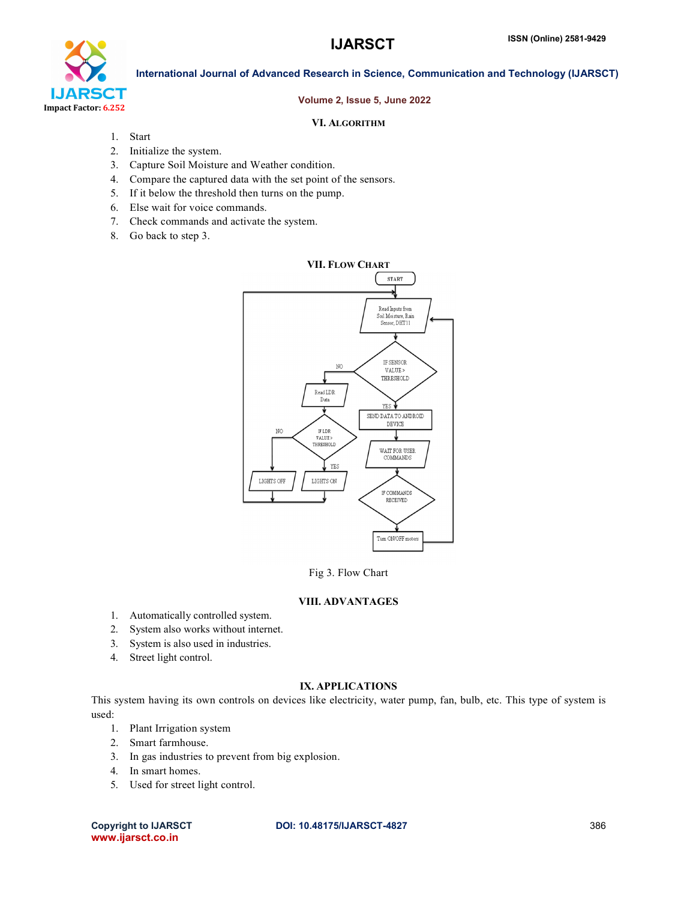

## Volume 2, Issue 5, June 2022

# VI. ALGORITHM

- 1. Start
- 2. Initialize the system.
- 3. Capture Soil Moisture and Weather condition.
- 4. Compare the captured data with the set point of the sensors.
- 5. If it below the threshold then turns on the pump.
- 6. Else wait for voice commands.
- 7. Check commands and activate the system.
- 8. Go back to step 3.



Fig 3. Flow Chart

# VIII. ADVANTAGES

- 1. Automatically controlled system.
- 2. System also works without internet.
- 3. System is also used in industries.
- 4. Street light control.

# IX. APPLICATIONS

This system having its own controls on devices like electricity, water pump, fan, bulb, etc. This type of system is used:

- 1. Plant Irrigation system
- 2. Smart farmhouse.
- 3. In gas industries to prevent from big explosion.
- 4. In smart homes.
- 5. Used for street light control.

www.ijarsct.co.in

### Copyright to IJARSCT **DOI: 10.48175/IJARSCT-4827** 386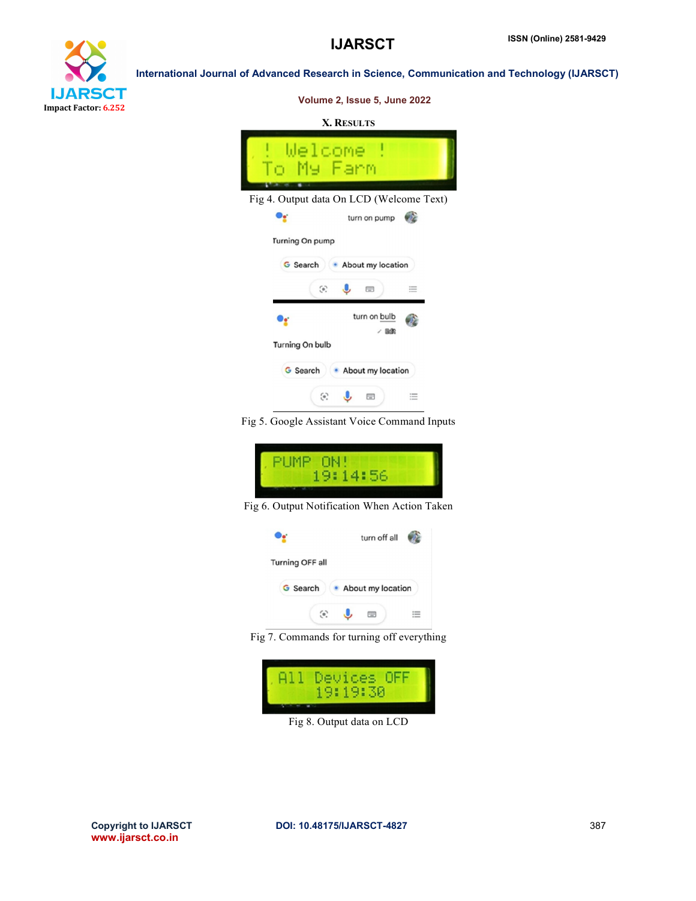



Volume 2, Issue 5, June 2022

## X. RESULTS



Fig 5. Google Assistant Voice Command Inputs



Fig 6. Output Notification When Action Taken



Fig 7. Commands for turning off everything



Fig 8. Output data on LCD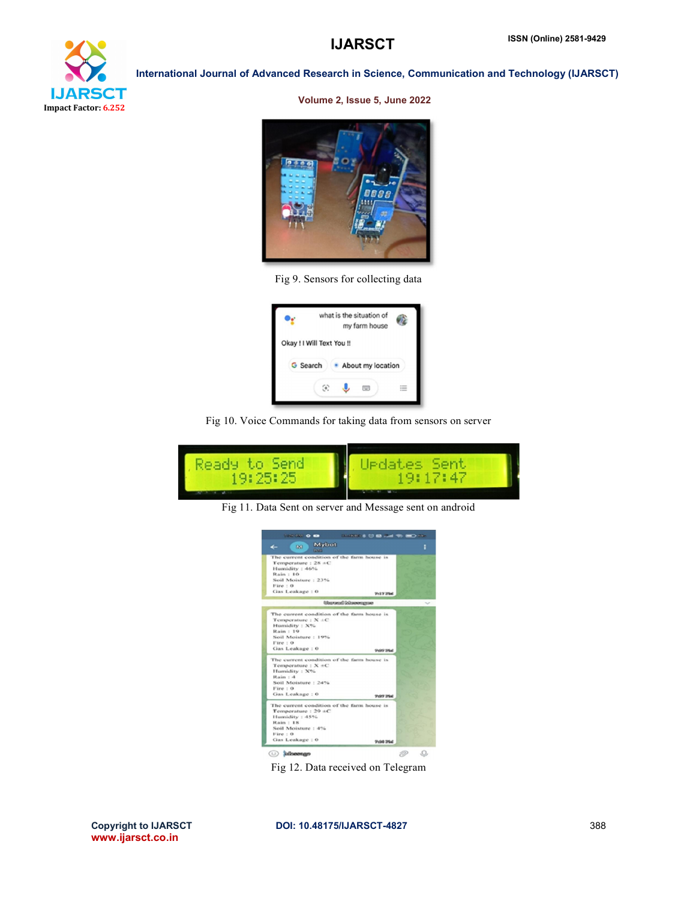

#### Volume 2, Issue 5, June 2022



Fig 9. Sensors for collecting data

|                 | what is the situation of<br>my farm house |
|-----------------|-------------------------------------------|
|                 | Okay ! I Will Text You !!                 |
| <b>G</b> Search | About my location                         |
|                 | m                                         |

Fig 10. Voice Commands for taking data from sensors on server



Fig 11. Data Sent on server and Message sent on android



Fig 12. Data received on Telegram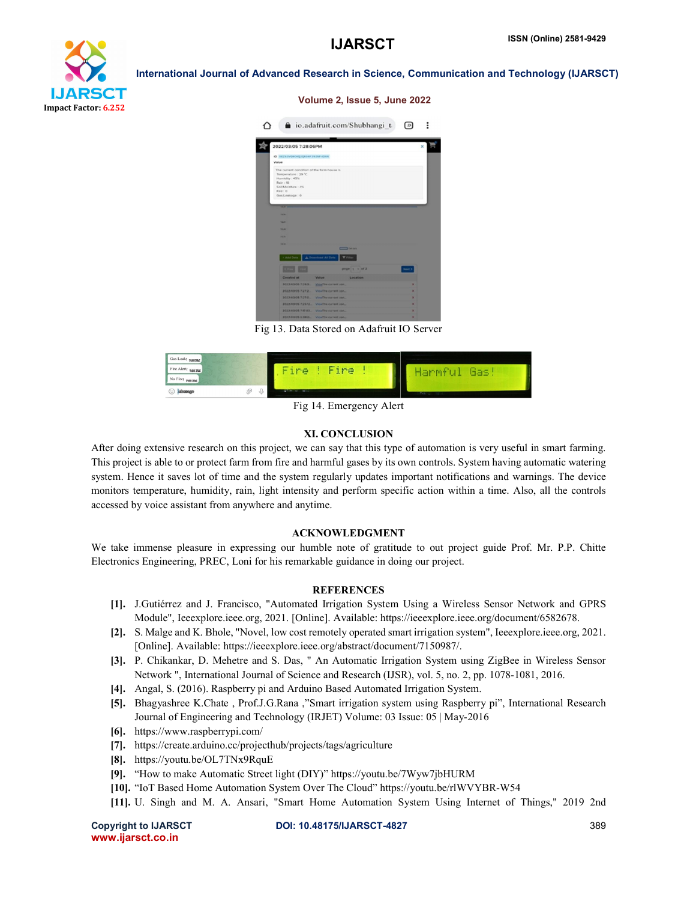

#### Volume 2, Issue 5, June 2022



Fig 13. Data Stored on Adafruit IO Server



Fig 14. Emergency Alert

#### XI. CONCLUSION

After doing extensive research on this project, we can say that this type of automation is very useful in smart farming. This project is able to or protect farm from fire and harmful gases by its own controls. System having automatic watering system. Hence it saves lot of time and the system regularly updates important notifications and warnings. The device monitors temperature, humidity, rain, light intensity and perform specific action within a time. Also, all the controls accessed by voice assistant from anywhere and anytime.

# ACKNOWLEDGMENT

We take immense pleasure in expressing our humble note of gratitude to out project guide Prof. Mr. P.P. Chitte Electronics Engineering, PREC, Loni for his remarkable guidance in doing our project.

## **REFERENCES**

- [1]. J.Gutiérrez and J. Francisco, "Automated Irrigation System Using a Wireless Sensor Network and GPRS Module", Ieeexplore.ieee.org, 2021. [Online]. Available: https://ieeexplore.ieee.org/document/6582678.
- [2]. S. Malge and K. Bhole, "Novel, low cost remotely operated smart irrigation system", Ieeexplore.ieee.org, 2021. [Online]. Available: https://ieeexplore.ieee.org/abstract/document/7150987/.
- [3]. P. Chikankar, D. Mehetre and S. Das, " An Automatic Irrigation System using ZigBee in Wireless Sensor Network ", International Journal of Science and Research (IJSR), vol. 5, no. 2, pp. 1078-1081, 2016.
- [4]. Angal, S. (2016). Raspberry pi and Arduino Based Automated Irrigation System.
- [5]. Bhagyashree K.Chate , Prof.J.G.Rana ,"Smart irrigation system using Raspberry pi", International Research Journal of Engineering and Technology (IRJET) Volume: 03 Issue: 05 | May-2016
- [6]. https://www.raspberrypi.com/
- [7]. https://create.arduino.cc/projecthub/projects/tags/agriculture
- [8]. https://youtu.be/OL7TNx9RquE
- [9]. "How to make Automatic Street light (DIY)" https://youtu.be/7Wyw7jbHURM
- [10]. "IoT Based Home Automation System Over The Cloud" https://youtu.be/rlWVYBR-W54
- [11]. U. Singh and M. A. Ansari, "Smart Home Automation System Using Internet of Things," 2019 2nd

www.ijarsct.co.in